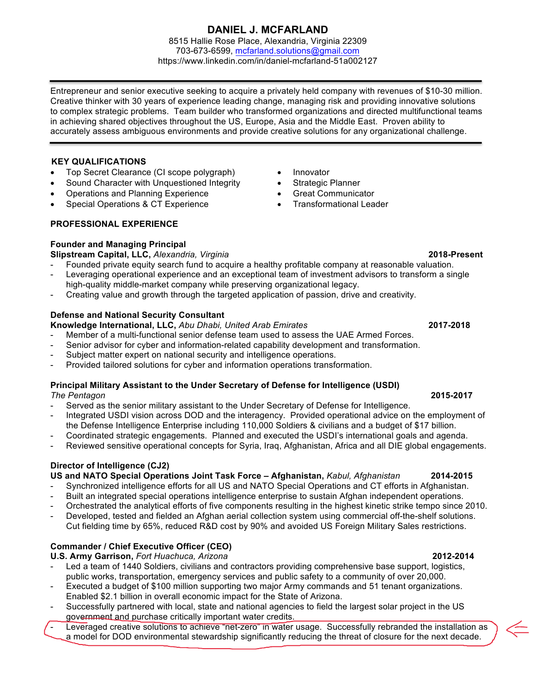# **DANIEL J. MCFARLAND**

8515 Hallie Rose Place, Alexandria, Virginia 22309 703-673-6599, mcfarland.solutions@gmail.com https://www.linkedin.com/in/daniel-mcfarland-51a002127

Entrepreneur and senior executive seeking to acquire a privately held company with revenues of \$10-30 million. Creative thinker with 30 years of experience leading change, managing risk and providing innovative solutions to complex strategic problems. Team builder who transformed organizations and directed multifunctional teams in achieving shared objectives throughout the US, Europe, Asia and the Middle East. Proven ability to accurately assess ambiguous environments and provide creative solutions for any organizational challenge.

### **KEY QUALIFICATIONS**

- Top Secret Clearance (CI scope polygraph)
- Sound Character with Unquestioned Integrity
- Operations and Planning Experience
- Special Operations & CT Experience

### **PROFESSIONAL EXPERIENCE**

### **Founder and Managing Principal**

**Slipstream Capital, LLC,** *Alexandria, Virginia* **2018-Present**

- Founded private equity search fund to acquire a healthy profitable company at reasonable valuation.
- Leveraging operational experience and an exceptional team of investment advisors to transform a single high-quality middle-market company while preserving organizational legacy.
- Creating value and growth through the targeted application of passion, drive and creativity.

### **Defense and National Security Consultant**

**Knowledge International, LLC,** *Abu Dhabi, United Arab Emirates* **2017-2018**

- Member of a multi-functional senior defense team used to assess the UAE Armed Forces.
- Senior advisor for cyber and information-related capability development and transformation.
- Subject matter expert on national security and intelligence operations.
- Provided tailored solutions for cyber and information operations transformation.

### **Principal Military Assistant to the Under Secretary of Defense for Intelligence (USDI)**

*The Pentagon* **2015-2017**

- Served as the senior military assistant to the Under Secretary of Defense for Intelligence.
- Integrated USDI vision across DOD and the interagency. Provided operational advice on the employment of the Defense Intelligence Enterprise including 110,000 Soldiers & civilians and a budget of \$17 billion.
- Coordinated strategic engagements. Planned and executed the USDI's international goals and agenda.
- Reviewed sensitive operational concepts for Syria, Iraq, Afghanistan, Africa and all DIE global engagements.

### **Director of Intelligence (CJ2)**

**US and NATO Special Operations Joint Task Force – Afghanistan,** *Kabul, Afghanistan* **2014-2015**

- Synchronized intelligence efforts for all US and NATO Special Operations and CT efforts in Afghanistan.
- Built an integrated special operations intelligence enterprise to sustain Afghan independent operations.
- Orchestrated the analytical efforts of five components resulting in the highest kinetic strike tempo since 2010.
- Developed, tested and fielded an Afghan aerial collection system using commercial off-the-shelf solutions. Cut fielding time by 65%, reduced R&D cost by 90% and avoided US Foreign Military Sales restrictions.

## **Commander / Chief Executive Officer (CEO)**

**U.S. Army Garrison,** *Fort Huachuca, Arizona* **2012-2014**

- Led a team of 1440 Soldiers, civilians and contractors providing comprehensive base support, logistics, public works, transportation, emergency services and public safety to a community of over 20,000.
- Executed a budget of \$100 million supporting two major Army commands and 51 tenant organizations. Enabled \$2.1 billion in overall economic impact for the State of Arizona.
- Successfully partnered with local, state and national agencies to field the largest solar project in the US government and purchase critically important water credits.
- Leveraged creative solutions to achieve "net-zero" in water usage. Successfully rebranded the installation as a model for DOD environmental stewardship significantly reducing the threat of closure for the next decade.

# • Innovator

- Strategic Planner
- Great Communicator
- Transformational Leader